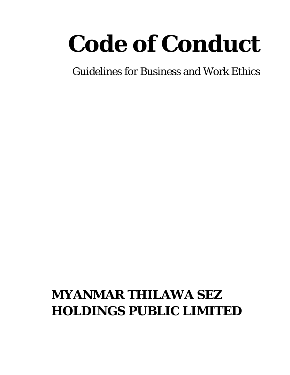# *Code of Conduct*

Guidelines for Business and Work Ethics

# **MYANMAR THILAWA SEZ HOLDINGS PUBLIC LIMITED**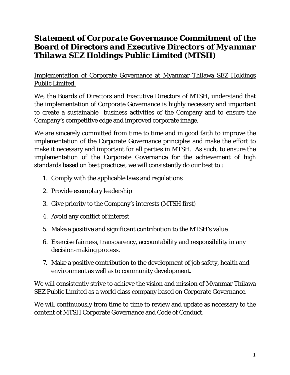# *Statement of Corporate Governance Commitment of the Board of Directors and Executive Directors of Myanmar Thilawa SEZ Holdings Public Limited (MTSH)*

Implementation of Corporate Governance at Myanmar Thilawa SEZ Holdings Public Limited.

We, the Boards of Directors and Executive Directors of MTSH, understand that the implementation of Corporate Governance is highly necessary and important to create a sustainable business activities of the Company and to ensure the Company's competitive edge and improved corporate image.

We are sincerely committed from time to time and in good faith to improve the implementation of the Corporate Governance principles and make the effort to make it necessary and important for all parties in MTSH. As such, to ensure the implementation of the Corporate Governance for the achievement of high standards based on best practices, we will consistently do our best to :

- 1. Comply with the applicable laws and regulations
- 2. Provide exemplary leadership
- 3. Give priority to the Company's interests (MTSH first)
- 4. Avoid any conflict of interest
- 5. Make a positive and significant contribution to the MTSH's value
- 6. Exercise fairness, transparency, accountability and responsibility in any decision-making process.
- 7. Make a positive contribution to the development of job safety, health and environment as well as to community development.

We will consistently strive to achieve the vision and mission of Myanmar Thilawa SEZ Public Limited as a world class company based on Corporate Governance.

We will continuously from time to time to review and update as necessary to the content of MTSH Corporate Governance and Code of Conduct.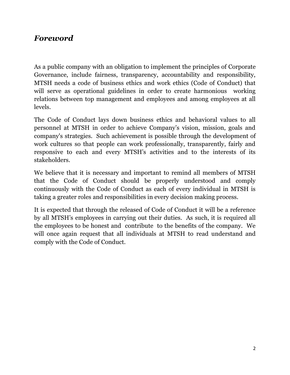# *Foreword*

As a public company with an obligation to implement the principles of Corporate Governance, include fairness, transparency, accountability and responsibility, MTSH needs a code of business ethics and work ethics (Code of Conduct) that will serve as operational guidelines in order to create harmonious working relations between top management and employees and among employees at all levels.

The Code of Conduct lays down business ethics and behavioral values to all personnel at MTSH in order to achieve Company's vision, mission, goals and company's strategies. Such achievement is possible through the development of work cultures so that people can work professionally, transparently, fairly and responsive to each and every MTSH's activities and to the interests of its stakeholders.

We believe that it is necessary and important to remind all members of MTSH that the Code of Conduct should be properly understood and comply continuously with the Code of Conduct as each of every individual in MTSH is taking a greater roles and responsibilities in every decision making process.

It is expected that through the released of Code of Conduct it will be a reference by all MTSH's employees in carrying out their duties. As such, it is required all the employees to be honest and contribute to the benefits of the company. We will once again request that all individuals at MTSH to read understand and comply with the Code of Conduct.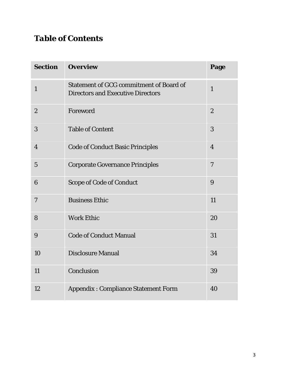# *Table of Contents*

| <b>Section</b>   | <b>Overview</b>                                                                            | Page           |
|------------------|--------------------------------------------------------------------------------------------|----------------|
| $\mathbf{1}$     | <b>Statement of GCG commitment of Board of</b><br><b>Directors and Executive Directors</b> | $\mathbf{1}$   |
| $\boldsymbol{2}$ | Foreword                                                                                   | $\overline{2}$ |
| 3                | <b>Table of Content</b>                                                                    | 3              |
| $\overline{4}$   | <b>Code of Conduct Basic Principles</b>                                                    | $\overline{4}$ |
| $\overline{5}$   | <b>Corporate Governance Principles</b>                                                     | $\overline{7}$ |
| 6                | <b>Scope of Code of Conduct</b>                                                            | 9              |
| $\boldsymbol{7}$ | <b>Business Ethic</b>                                                                      | 11             |
| 8                | <b>Work Ethic</b>                                                                          | 20             |
| 9                | <b>Code of Conduct Manual</b>                                                              | 31             |
| 10               | <b>Disclosure Manual</b>                                                                   | 34             |
| 11               | Conclusion                                                                                 | 39             |
| 12               | <b>Appendix: Compliance Statement Form</b>                                                 | 40             |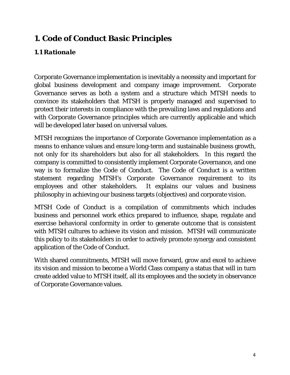# *1. Code of Conduct Basic Principles*

# *1.1 Rationale*

Corporate Governance implementation is inevitably a necessity and important for global business development and company image improvement. Corporate Governance serves as both a system and a structure which MTSH needs to convince its stakeholders that MTSH is properly managed and supervised to protect their interests in compliance with the prevailing laws and regulations and with Corporate Governance principles which are currently applicable and which will be developed later based on universal values.

MTSH recognizes the importance of Corporate Governance implementation as a means to enhance values and ensure long-term and sustainable business growth, not only for its shareholders but also for all stakeholders. In this regard the company is committed to consistently implement Corporate Governance, and one way is to formalize the Code of Conduct. The Code of Conduct is a written statement regarding MTSH's Corporate Governance requirement to its employees and other stakeholders. It explains our values and business philosophy in achieving our business targets (objectives) and corporate vision.

MTSH Code of Conduct is a compilation of commitments which includes business and personnel work ethics prepared to influence, shape, regulate and exercise behavioral conformity in order to generate outcome that is consistent with MTSH cultures to achieve its vision and mission. MTSH will communicate this policy to its stakeholders in order to actively promote synergy and consistent application of the Code of Conduct.

With shared commitments, MTSH will move forward, grow and excel to achieve its vision and mission to become a World Class company a status that will in turn create added value to MTSH itself, all its employees and the society in observance of Corporate Governance values.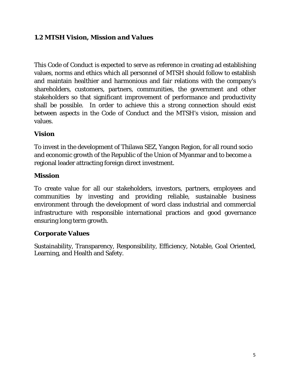# *1.2 MTSH Vision, Mission and Values*

This Code of Conduct is expected to serve as reference in creating ad establishing values, norms and ethics which all personnel of MTSH should follow to establish and maintain healthier and harmonious and fair relations with the company's shareholders, customers, partners, communities, the government and other stakeholders so that significant improvement of performance and productivity shall be possible. In order to achieve this a strong connection should exist between aspects in the Code of Conduct and the MTSH's vision, mission and values.

# **Vision**

To invest in the development of Thilawa SEZ, Yangon Region, for all round socio and economic growth of the Republic of the Union of Myanmar and to become a regional leader attracting foreign direct investment.

# **Mission**

To create value for all our stakeholders, investors, partners, employees and communities by investing and providing reliable, sustainable business environment through the development of word class industrial and commercial infrastructure with responsible international practices and good governance ensuring long term growth.

# **Corporate Values**

Sustainability, Transparency, Responsibility, Efficiency, Notable, Goal Oriented, Learning, and Health and Safety.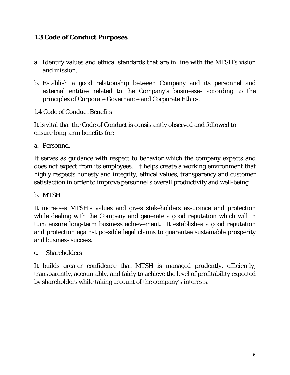# *1.3 Code of Conduct Purposes*

- a. Identify values and ethical standards that are in line with the MTSH's vision and mission.
- b. Establish a good relationship between Company and its personnel and external entities related to the Company's businesses according to the principles of Corporate Governance and Corporate Ethics.
- 1.4 Code of Conduct Benefits

It is vital that the Code of Conduct is consistently observed and followed to ensure long term benefits for:

a. Personnel

It serves as guidance with respect to behavior which the company expects and does not expect from its employees. It helps create a working environment that highly respects honesty and integrity, ethical values, transparency and customer satisfaction in order to improve personnel's overall productivity and well-being.

b. MTSH

It increases MTSH's values and gives stakeholders assurance and protection while dealing with the Company and generate a good reputation which will in turn ensure long-term business achievement. It establishes a good reputation and protection against possible legal claims to guarantee sustainable prosperity and business success.

c. Shareholders

It builds greater confidence that MTSH is managed prudently, efficiently, transparently, accountably, and fairly to achieve the level of profitability expected by shareholders while taking account of the company's interests.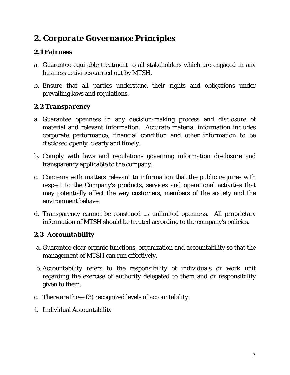# *2. Corporate Governance Principles*

# *2.1 Fairness*

- a. Guarantee equitable treatment to all stakeholders which are engaged in any business activities carried out by MTSH.
- b. Ensure that all parties understand their rights and obligations under prevailing laws and regulations.

# *2.2 Transparency*

- a. Guarantee openness in any decision-making process and disclosure of material and relevant information. Accurate material information includes corporate performance, financial condition and other information to be disclosed openly, clearly and timely.
- b. Comply with laws and regulations governing information disclosure and transparency applicable to the company.
- c. Concerns with matters relevant to information that the public requires with respect to the Company's products, services and operational activities that may potentially affect the way customers, members of the society and the environment behave.
- d. Transparency cannot be construed as unlimited openness. All proprietary information of MTSH should be treated according to the company's policies.

# *2.3 Accountability*

- a. Guarantee clear organic functions, organization and accountability so that the management of MTSH can run effectively.
- b. Accountability refers to the responsibility of individuals or work unit regarding the exercise of authority delegated to them and or responsibility given to them.
- c. There are three (3) recognized levels of accountability:
- 1. Individual Accountability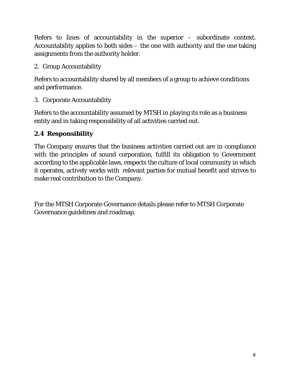Refers to lines of accountability in the superior – subordinate context. Accountability applies to both sides – the one with authority and the one taking assignments from the authority holder.

2. Group Accountability

Refers to accountability shared by all members of a group to achieve conditions and performance.

3. Corporate Accountability

Refers to the accountability assumed by MTSH in playing its role as a business entity and in taking responsibility of all activities carried out.

# *2.4 Responsibility*

The Company ensures that the business activities carried out are in compliance with the principles of sound corporation, fulfill its obligation to Government according to the applicable laws, respects the culture of local community in which it operates, actively works with relevant parties for mutual benefit and strives to make real contribution to the Company.

For the MTSH Corporate Governance details please refer to MTSH Corporate Governance guidelines and roadmap.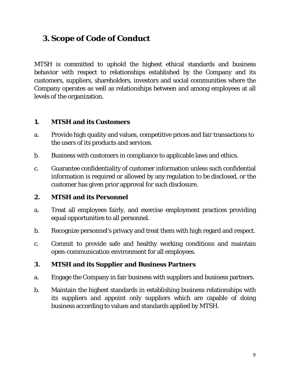# **3. Scope of Code of Conduct**

MTSH is committed to uphold the highest ethical standards and business behavior with respect to relationships established by the Company and its customers, suppliers, shareholders, investors and social communities where the Company operates as well as relationships between and among employees at all levels of the organization.

# **1. MTSH and its Customers**

- a. Provide high quality and values, competitive prices and fair transactions to the users of its products and services.
- b. Business with customers in compliance to applicable laws and ethics.
- c. Guarantee confidentiality of customer information unless such confidential information is required or allowed by any regulation to be disclosed, or the customer has given prior approval for such disclosure.

# **2. MTSH and its Personnel**

- a. Treat all employees fairly, and exercise employment practices providing equal opportunities to all personnel.
- b. Recognize personnel's privacy and treat them with high regard and respect.
- c. Commit to provide safe and healthy working conditions and maintain open-communication environment for all employees.

#### **3. MTSH and its Supplier and Business Partners**

- a. Engage the Company in fair business with suppliers and business partners.
- b. Maintain the highest standards in establishing business relationships with its suppliers and appoint only suppliers which are capable of doing business according to values and standards applied by MTSH.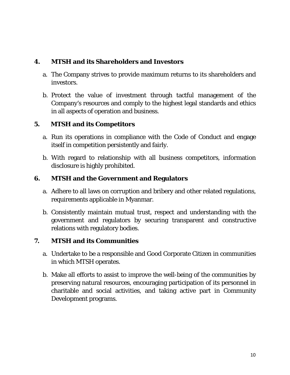# **4. MTSH and its Shareholders and Investors**

- a. The Company strives to provide maximum returns to its shareholders and investors.
- b. Protect the value of investment through tactful management of the Company's resources and comply to the highest legal standards and ethics in all aspects of operation and business.

# **5. MTSH and its Competitors**

- a. Run its operations in compliance with the Code of Conduct and engage itself in competition persistently and fairly.
- b. With regard to relationship with all business competitors, information disclosure is highly prohibited.

# **6. MTSH and the Government and Regulators**

- a. Adhere to all laws on corruption and bribery and other related regulations, requirements applicable in Myanmar.
- b. Consistently maintain mutual trust, respect and understanding with the government and regulators by securing transparent and constructive relations with regulatory bodies.

# **7. MTSH and its Communities**

- a. Undertake to be a responsible and Good Corporate Citizen in communities in which MTSH operates.
- b. Make all efforts to assist to improve the well-being of the communities by preserving natural resources, encouraging participation of its personnel in charitable and social activities, and taking active part in Community Development programs.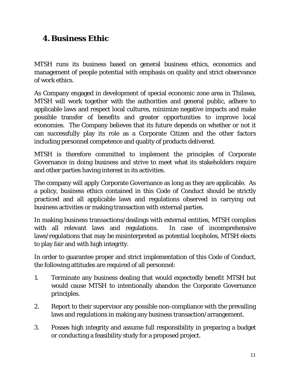# *4.Business Ethic*

MTSH runs its business based on general business ethics, economics and management of people potential with emphasis on quality and strict observance of work ethics.

As Company engaged in development of special economic zone area in Thilawa, MTSH will work together with the authorities and general public, adhere to applicable laws and respect local cultures, minimize negative impacts and make possible transfer of benefits and greater opportunities to improve local economies. The Company believes that its future depends on whether or not it can successfully play its role as a Corporate Citizen and the other factors including personnel competence and quality of products delivered.

MTSH is therefore committed to implement the principles of Corporate Governance in doing business and strive to meet what its stakeholders require and other parties having interest in its activities.

The company will apply Corporate Governance as long as they are applicable. As a policy, business ethics contained in this Code of Conduct should be strictly practiced and all applicable laws and regulations observed in carrying out business activities or making transaction with external parties.

In making business transactions/dealings with external entities, MTSH complies with all relevant laws and regulations. In case of incomprehensive laws/regulations that may be misinterpreted as potential loopholes, MTSH elects to play fair and with high integrity.

In order to guarantee proper and strict implementation of this Code of Conduct, the following attitudes are required of all personnel:

- 1. Terminate any business dealing that would expectedly benefit MTSH but would cause MTSH to intentionally abandon the Corporate Governance principles.
- 2. Report to their supervisor any possible non-compliance with the prevailing laws and regulations in making any business transaction/arrangement.
- 3. Posses high integrity and assume full responsibility in preparing a budget or conducting a feasibility study for a proposed project.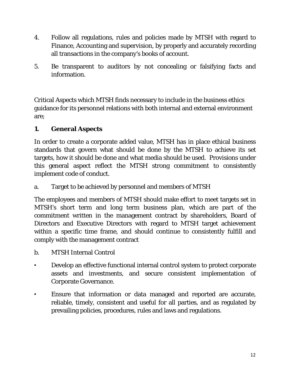- 4. Follow all regulations, rules and policies made by MTSH with regard to Finance, Accounting and supervision, by properly and accurately recording all transactions in the company's books of account.
- 5. Be transparent to auditors by not concealing or falsifying facts and information.

Critical Aspects which MTSH finds necessary to include in the business ethics guidance for its personnel relations with both internal and external environment are;

# **1. General Aspects**

In order to create a corporate added value, MTSH has in place ethical business standards that govern what should be done by the MTSH to achieve its set targets, how it should be done and what media should be used. Provisions under this general aspect reflect the MTSH strong commitment to consistently implement code of conduct.

a. Target to be achieved by personnel and members of MTSH

The employees and members of MTSH should make effort to meet targets set in MTSH's short term and long term business plan, which are part of the commitment written in the management contract by shareholders, Board of Directors and Executive Directors with regard to MTSH target achievement within a specific time frame, and should continue to consistently fulfill and comply with the management contract

- b. MTSH Internal Control
- Develop an effective functional internal control system to protect corporate assets and investments, and secure consistent implementation of Corporate Governance.
- Ensure that information or data managed and reported are accurate, reliable, timely, consistent and useful for all parties, and as regulated by prevailing policies, procedures, rules and laws and regulations.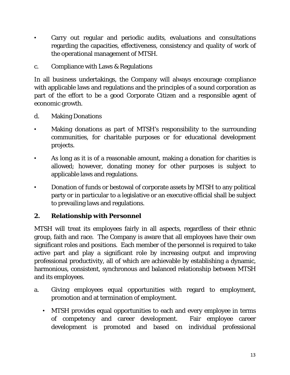- Carry out regular and periodic audits, evaluations and consultations regarding the capacities, effectiveness, consistency and quality of work of the operational management of MTSH.
- c. Compliance with Laws & Regulations

In all business undertakings, the Company will always encourage compliance with applicable laws and regulations and the principles of a sound corporation as part of the effort to be a good Corporate Citizen and a responsible agent of economic growth.

- d. Making Donations
- Making donations as part of MTSH's responsibility to the surrounding communities, for charitable purposes or for educational development projects.
- As long as it is of a reasonable amount, making a donation for charities is allowed; however, donating money for other purposes is subject to applicable laws and regulations.
- Donation of funds or bestowal of corporate assets by MTSH to any political party or in particular to a legislative or an executive official shall be subject to prevailing laws and regulations.

# **2. Relationship with Personnel**

MTSH will treat its employees fairly in all aspects, regardless of their ethnic group, faith and race. The Company is aware that all employees have their own significant roles and positions. Each member of the personnel is required to take active part and play a significant role by increasing output and improving professional productivity, all of which are achievable by establishing a dynamic, harmonious, consistent, synchronous and balanced relationship between MTSH and its employees.

- a. Giving employees equal opportunities with regard to employment, promotion and at termination of employment.
	- MTSH provides equal opportunities to each and every employee in terms of competency and career development. Fair employee career development is promoted and based on individual professional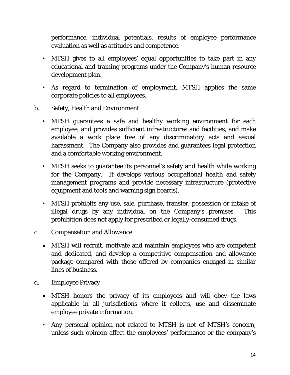performance, individual potentials, results of employee performance evaluation as well as attitudes and competence.

- MTSH gives to all employees' equal opportunities to take part in any educational and training programs under the Company's human resource development plan.
- As regard to termination of employment, MTSH applies the same corporate policies to all employees.
- b. Safety, Health and Environment
	- MTSH guarantees a safe and healthy working environment for each employee, and provides sufficient infrastructures and facilities, and make available a work place free of any discriminatory acts and sexual harassment. The Company also provides and guarantees legal protection and a comfortable working environment.
	- MTSH seeks to guarantee its personnel's safety and health while working for the Company. It develops various occupational health and safety management programs and provide necessary infrastructure (protective equipment and tools and warning sign boards).
	- MTSH prohibits any use, sale, purchase, transfer, possession or intake of illegal drugs by any individual on the Company's premises. This prohibition does not apply for prescribed or legally-consumed drugs.
- c. Compensation and Allowance
	- MTSH will recruit, motivate and maintain employees who are competent and dedicated, and develop a competitive compensation and allowance package compared with those offered by companies engaged in similar lines of business.
- d. Employee Privacy
	- MTSH honors the privacy of its employees and will obey the laws applicable in all jurisdictions where it collects, use and disseminate employee private information.
	- Any personal opinion not related to MTSH is not of MTSH's concern, unless such opinion affect the employees' performance or the company's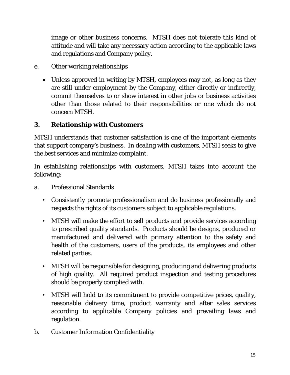image or other business concerns. MTSH does not tolerate this kind of attitude and will take any necessary action according to the applicable laws and regulations and Company policy.

- e. Other working relationships
	- Unless approved in writing by MTSH, employees may not, as long as they are still under employment by the Company, either directly or indirectly, commit themselves to or show interest in other jobs or business activities other than those related to their responsibilities or one which do not concern MTSH.

# **3. Relationship with Customers**

MTSH understands that customer satisfaction is one of the important elements that support company's business. In dealing with customers, MTSH seeks to give the best services and minimize complaint.

In establishing relationships with customers, MTSH takes into account the following:

- a. Professional Standards
	- Consistently promote professionalism and do business professionally and respects the rights of its customers subject to applicable regulations.
	- MTSH will make the effort to sell products and provide services according to prescribed quality standards. Products should be designs, produced or manufactured and delivered with primary attention to the safety and health of the customers, users of the products, its employees and other related parties.
	- MTSH will be responsible for designing, producing and delivering products of high quality. All required product inspection and testing procedures should be properly complied with.
	- MTSH will hold to its commitment to provide competitive prices, quality, reasonable delivery time, product warranty and after sales services according to applicable Company policies and prevailing laws and regulation.
- b. Customer Information Confidentiality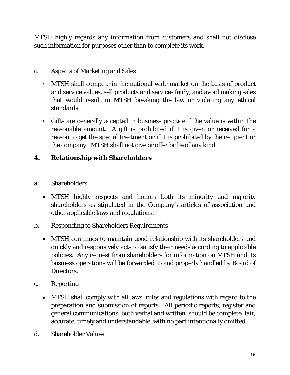MTSH highly regards any information from customers and shall not disclose such information for purposes other than to complete its work.

# c. Aspects of Marketing and Sales

- MTSH shall compete in the national wide market on the basis of product and service values, sell products and services fairly, and avoid making sales that would result in MTSH breaking the law or violating any ethical standards.
- Gifts are generally accepted in business practice if the value is within the reasonable amount. A gift is prohibited if it is given or received for a reason to get the special treatment or if it is prohibited by the recipient or the company. MTSH shall not give or offer bribe of any kind.

# **4. Relationship with Shareholders**

- a. Shareholders
	- MTSH highly respects and honors both its minority and majority shareholders as stipulated in the Company's articles of association and other applicable laws and regulations.
- b. Responding to Shareholders Requirements
	- MTSH continues to maintain good relationship with its shareholders and quickly and responsively acts to satisfy their needs according to applicable policies. Any request from shareholders for information on MTSH and its business operations will be forwarded to and properly handled by Board of Directors.
- c. Reporting
	- MTSH shall comply with all laws, rules and regulations with regard to the preparation and submission of reports. All periodic reports, register and general communications, both verbal and written, should be complete, fair, accurate, timely and understandable, with no part intentionally omitted.
- d. Shareholder Values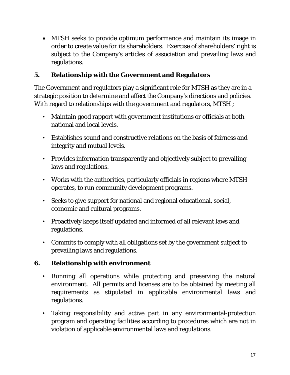MTSH seeks to provide optimum performance and maintain its image in order to create value for its shareholders. Exercise of shareholders' right is subject to the Company's articles of association and prevailing laws and regulations.

# **5. Relationship with the Government and Regulators**

The Government and regulators play a significant role for MTSH as they are in a strategic position to determine and affect the Company's directions and policies. With regard to relationships with the government and regulators, MTSH ;

- Maintain good rapport with government institutions or officials at both national and local levels.
- Establishes sound and constructive relations on the basis of fairness and integrity and mutual levels.
- Provides information transparently and objectively subject to prevailing laws and regulations.
- Works with the authorities, particularly officials in regions where MTSH operates, to run community development programs.
- Seeks to give support for national and regional educational, social, economic and cultural programs.
- Proactively keeps itself updated and informed of all relevant laws and regulations.
- Commits to comply with all obligations set by the government subject to prevailing laws and regulations.

# **6. Relationship with environment**

- Running all operations while protecting and preserving the natural environment. All permits and licenses are to be obtained by meeting all requirements as stipulated in applicable environmental laws and regulations.
- Taking responsibility and active part in any environmental-protection program and operating facilities according to procedures which are not in violation of applicable environmental laws and regulations.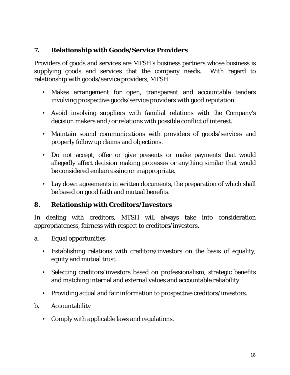# **7. Relationship with Goods/Service Providers**

Providers of goods and services are MTSH's business partners whose business is supplying goods and services that the company needs. With regard to relationship with goods/service providers, MTSH:

- Makes arrangement for open, transparent and accountable tenders involving prospective goods/service providers with good reputation.
- Avoid involving suppliers with familial relations with the Company's decision makers and /or relations with possible conflict of interest.
- Maintain sound communications with providers of goods/services and properly follow up claims and objections.
- Do not accept, offer or give presents or make payments that would allegedly affect decision making processes or anything similar that would be considered embarrassing or inappropriate.
- Lay down agreements in written documents, the preparation of which shall be based on good faith and mutual benefits.

# **8. Relationship with Creditors/Investors**

In dealing with creditors, MTSH will always take into consideration appropriateness, fairness with respect to creditors/investors.

- a. Equal opportunities
	- Establishing relations with creditors/investors on the basis of equality, equity and mutual trust.
	- Selecting creditors/investors based on professionalism, strategic benefits and matching internal and external values and accountable reliability.
	- Providing actual and fair information to prospective creditors/investors.
- b. Accountability
	- Comply with applicable laws and regulations.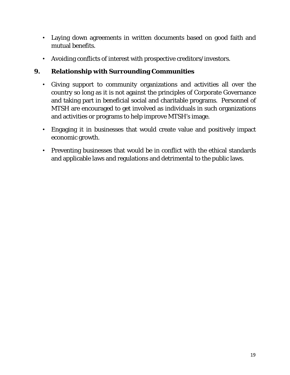- Laying down agreements in written documents based on good faith and mutual benefits.
- Avoiding conflicts of interest with prospective creditors/investors.

# **9. Relationship with Surrounding Communities**

- Giving support to community organizations and activities all over the country so long as it is not against the principles of Corporate Governance and taking part in beneficial social and charitable programs. Personnel of MTSH are encouraged to get involved as individuals in such organizations and activities or programs to help improve MTSH's image.
- Engaging it in businesses that would create value and positively impact economic growth.
- Preventing businesses that would be in conflict with the ethical standards and applicable laws and regulations and detrimental to the public laws.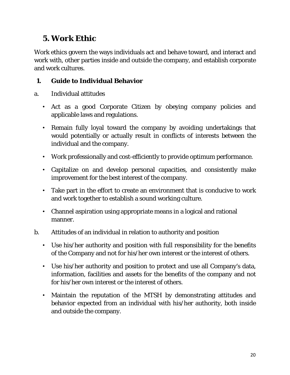# *5. Work Ethic*

Work ethics govern the ways individuals act and behave toward, and interact and work with, other parties inside and outside the company, and establish corporate and work cultures.

# **1. Guide to Individual Behavior**

- a. Individual attitudes
	- Act as a good Corporate Citizen by obeying company policies and applicable laws and regulations.
	- Remain fully loyal toward the company by avoiding undertakings that would potentially or actually result in conflicts of interests between the individual and the company.
	- Work professionally and cost-efficiently to provide optimum performance.
	- Capitalize on and develop personal capacities, and consistently make improvement for the best interest of the company.
	- Take part in the effort to create an environment that is conducive to work and work together to establish a sound working culture.
	- Channel aspiration using appropriate means in a logical and rational manner.
- b. Attitudes of an individual in relation to authority and position
	- Use his/her authority and position with full responsibility for the benefits of the Company and not for his/her own interest or the interest of others.
	- Use his/her authority and position to protect and use all Company's data, information, facilities and assets for the benefits of the company and not for his/her own interest or the interest of others.
	- Maintain the reputation of the MTSH by demonstrating attitudes and behavior expected from an individual with his/her authority, both inside and outside the company.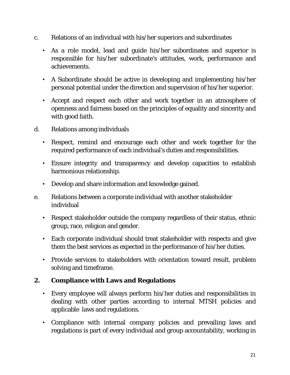- c. Relations of an individual with his/her superiors and subordinates
	- As a role model, lead and guide his/her subordinates and superior is responsible for his/her subordinate's attitudes, work, performance and achievements.
	- A Subordinate should be active in developing and implementing his/her personal potential under the direction and supervision of his/her superior.
	- Accept and respect each other and work together in an atmosphere of openness and fairness based on the principles of equality and sincerity and with good faith.
- d. Relations among individuals
	- Respect, remind and encourage each other and work together for the required performance of each individual's duties and responsibilities.
	- Ensure integrity and transparency and develop capacities to establish harmonious relationship.
	- Develop and share information and knowledge gained.
- e. Relations between a corporate individual with another stakeholder individual
	- Respect stakeholder outside the company regardless of their status, ethnic group, race, religion and gender.
	- Each corporate individual should treat stakeholder with respects and give them the best services as expected in the performance of his/her duties.
	- Provide services to stakeholders with orientation toward result, problem solving and timeframe.

# **2. Compliance with Laws and Regulations**

- Every employee will always perform his/her duties and responsibilities in dealing with other parties according to internal MTSH policies and applicable laws and regulations.
- Compliance with internal company policies and prevailing laws and regulations is part of every individual and group accountability, working in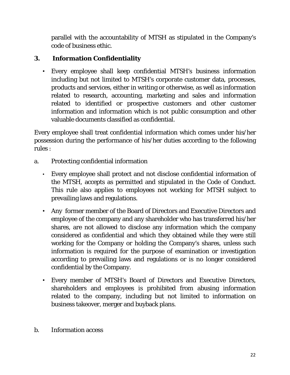parallel with the accountability of MTSH as stipulated in the Company's code of business ethic.

# **3. Information Confidentiality**

• Every employee shall keep confidential MTSH's business information including but not limited to MTSH's corporate customer data, processes, products and services, either in writing or otherwise, as well as information related to research, accounting, marketing and sales and information related to identified or prospective customers and other customer information and information which is not public consumption and other valuable documents classified as confidential.

Every employee shall treat confidential information which comes under his/her possession during the performance of his/her duties according to the following rules :

- a. Protecting confidential information
	- Every employee shall protect and not disclose confidential information of the MTSH, accepts as permitted and stipulated in the Code of Conduct. This rule also applies to employees not working for MTSH subject to prevailing laws and regulations.
	- Any former member of the Board of Directors and Executive Directors and employee of the company and any shareholder who has transferred his/her shares, are not allowed to disclose any information which the company considered as confidential and which they obtained while they were still working for the Company or holding the Company's shares, unless such information is required for the purpose of examination or investigation according to prevailing laws and regulations or is no longer considered confidential by the Company.
	- Every member of MTSH's Board of Directors and Executive Directors, shareholders and employees is prohibited from abusing information related to the company, including but not limited to information on business takeover, merger and buyback plans.
- b. Information access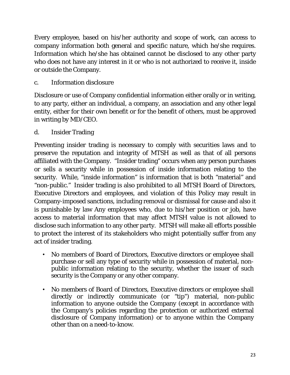Every employee, based on his/her authority and scope of work, can access to company information both general and specific nature, which he/she requires. Information which he/she has obtained cannot be disclosed to any other party who does not have any interest in it or who is not authorized to receive it, inside or outside the Company.

c. Information disclosure

Disclosure or use of Company confidential information either orally or in writing, to any party, either an individual, a company, an association and any other legal entity, either for their own benefit or for the benefit of others, must be approved in writing by MD/CEO.

d. Insider Trading

Preventing insider trading is necessary to comply with securities laws and to preserve the reputation and integrity of MTSH as well as that of all persons affiliated with the Company. "Insider trading" occurs when any person purchases or sells a security while in possession of inside information relating to the security. While, "inside information" is information that is both "material" and "non-public." Insider trading is also prohibited to all MTSH Board of Directors, Executive Directors and employees, and violation of this Policy may result in Company-imposed sanctions, including removal or dismissal for cause and also it is punishable by law Any employees who, due to his/her position or job, have access to material information that may affect MTSH value is not allowed to disclose such information to any other party. MTSH will make all efforts possible to protect the interest of its stakeholders who might potentially suffer from any act of insider trading.

- No members of Board of Directors, Executive directors or employee shall purchase or sell any type of security while in possession of material, nonpublic information relating to the security, whether the issuer of such security is the Company or any other company.
- No members of Board of Directors, Executive directors or employee shall directly or indirectly communicate (or "tip") material, non-public information to anyone outside the Company (except in accordance with the Company's policies regarding the protection or authorized external disclosure of Company information) or to anyone within the Company other than on a need-to-know.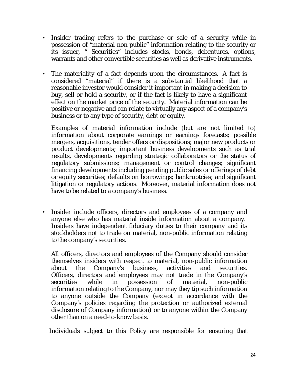- Insider trading refers to the purchase or sale of a security while in possession of "material non public" information relating to the security or its issuer, " Securities" includes stocks, bonds, debentures, options, warrants and other convertible securities as well as derivative instruments.
- The materiality of a fact depends upon the circumstances. A fact is considered "material" if there is a substantial likelihood that a reasonable investor would consider it important in making a decision to buy, sell or hold a security, or if the fact is likely to have a significant effect on the market price of the security. Material information can be positive or negative and can relate to virtually any aspect of a company's business or to any type of security, debt or equity.

Examples of material information include (but are not limited to) information about corporate earnings or earnings forecasts; possible mergers, acquisitions, tender offers or dispositions; major new products or product developments; important business developments such as trial results, developments regarding strategic collaborators or the status of regulatory submissions; management or control changes; significant financing developments including pending public sales or offerings of debt or equity securities; defaults on borrowings; bankruptcies; and significant litigation or regulatory actions. Moreover, material information does not have to be related to a company's business.

• Insider include officers, directors and employees of a company and anyone else who has material inside information about a company. Insiders have independent fiduciary duties to their company and its stockholders not to trade on material, non-public information relating to the company's securities.

All officers, directors and employees of the Company should consider themselves insiders with respect to material, non-public information about the Company's business, activities and securities. Officers, directors and employees may not trade in the Company's securities while in possession of material, non-public information relating to the Company, nor may they tip such information to anyone outside the Company (except in accordance with the Company's policies regarding the protection or authorized external disclosure of Company information) or to anyone within the Company other than on a need-to-know basis.

Individuals subject to this Policy are responsible for ensuring that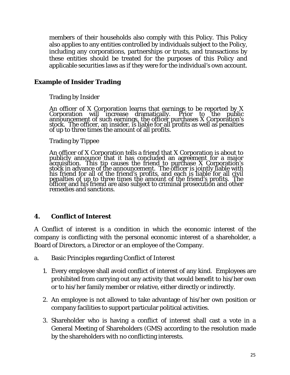members of their households also comply with this Policy. This Policy also applies to any entities controlled by individuals subject to the Policy, including any corporations, partnerships or trusts, and transactions by these entities should be treated for the purposes of this Policy and applicable securities laws as if they were for the individual's own account.

#### **Example of Insider Trading**

Trading by Insider

An officer of X Corporation learns that earnings to be reported by X Corporation will increase dramatically. Prior to the public announcement of such earnings, the officer purchases X Corporation's stock. The officer, an i

Trading by Tippee

An officer of X Corporation tells a friend that X Corporation is about to<br>publicly announce that it has concluded an agreement for a major<br>acquisition. This tip causes the friend to purchase X Corporation's stock in advance of the announcement. The officer is jointly liable with his friend for all of the friend's profits, and each is liable for all civil penalties of up to three times the amount of the friend's profits. The<br>officer and his friend are also subject to criminal prosecution and other<br>remedies and sanctions.

#### **4. Conflict of Interest**

A Conflict of interest is a condition in which the economic interest of the company is conflicting with the personal economic interest of a shareholder, a Board of Directors, a Director or an employee of the Company.

- a. Basic Principles regarding Conflict of Interest
	- 1. Every employee shall avoid conflict of interest of any kind. Employees are prohibited from carrying out any activity that would benefit to his/her own or to his/her family member or relative, either directly or indirectly.
	- 2. An employee is not allowed to take advantage of his/her own position or company facilities to support particular political activities.
	- 3. Shareholder who is having a conflict of interest shall cast a vote in a General Meeting of Shareholders (GMS) according to the resolution made by the shareholders with no conflicting interests.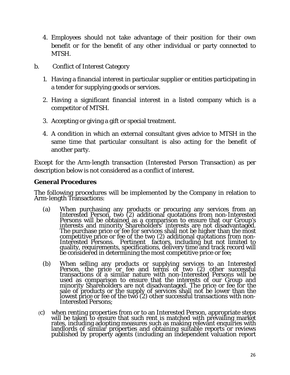- 4. Employees should not take advantage of their position for their own benefit or for the benefit of any other individual or party connected to MTSH.
- b. Conflict of Interest Category
	- 1. Having a financial interest in particular supplier or entities participating in a tender for supplying goods or services.
	- 2. Having a significant financial interest in a listed company which is a competitor of MTSH.
	- 3. Accepting or giving a gift or special treatment.
	- 4. A condition in which an external consultant gives advice to MTSH in the same time that particular consultant is also acting for the benefit of another party.

Except for the Arm-length transaction (Interested Person Transaction) as per description below is not considered as a conflict of interest.

#### **General Procedures**

The following procedures will be implemented by the Company in relation to Arm-length Transactions:

- (a) When purchasing any products or procuring any services from an Interested Person, two (2) additional quotations from non-Interested Persons will be obtained as a comparison to ensure that our Group's interests and mino Interested Persons. Pertinent factors, including but not limited to<br>quality, requirements, specifications, delivery time and track record will<br>be considered in determining the most competitive price or fee;
- (b) When selling any products or supplying services to an Interested Person, the price or fee and terms of two (2) other successful transactions of a similar nature with non-Interested Persons will be used as comparison to ensure that the interests of our Group and<br>minority Shareholders are not disadvantaged. The price or fee for the<br>sale of products or the supply of services shall not be lower than the lowest price or fee of the two (2) other successful transactions with non-Interested Persons;
- (c) when renting properties from or to an Interested Person, appropriate steps will be taken to ensure that such rent is matched with prevailing market rates, including adopting measures such as making relevant enquiries w landlords of similar properties and obtaining suitable reports or reviews published by property agents (including an independent valuation report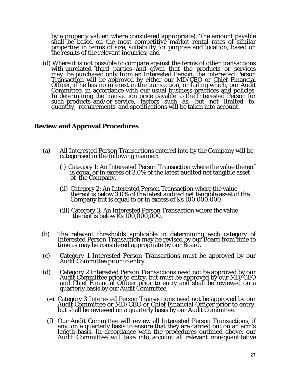by a property valuer, where considered appropriate). The amount payable<br>shall be based on the most competitive market rental rates of similar properties in terms of size, suitability for purpose and location, based on<br>the results of the relevant inquiries; and

(d) Where it is not possible to compare against the terms of other transactions with unrelated third parties and given that the products or services may be purchased only from an Interested Person, the Interested Person Transaction will be approved by either our MD/CEO or Chief Financial Officer, if he has no interest in the transaction, or failing which, our Audit<br>Committee, in accordance with our usual business practices and policies.<br>In determining the transaction price payable to the Interested Person such products and/or service, factors such as, but not limited to, quantity, requirements and specifications will be taken into account.

#### **Review and Approval Procedures**

- (a) All Interested Person Transactions entered into by the Company will be categorised in the following manner:
	- (i) Category 1: An Interested Person Transaction where the value thereof is equal or in excess of 3.0% of the latest audited net tangible asset of the Company.
	- (ii) Category 2: An Interested Person Transaction where the value thereof is below 3.0% of the latest audited net tangible asset of the Company but is equal to or in excess of Ks 100,000,000.
	- (iii) Category 3: An Interested Person Transaction where the value thereof is below Ks 100,000,000.
- (b) The relevant thresholds applicable in determining each category of Interested Person Transaction may be revised by our Board from time to time as may be considered appropriate by our Board.
- (c) Category 1 Interested Person Transactions must be approved by our Audit Committee prior to entry.
- (d) Category 2 Interested Person Transactions need not be approved by our Audit Committee prior to entry, but must be approved by our MD/CEO and Chief Financial Officer prior to entry and shall be reviewed on a quarterly b
	- (e) Category 3 Interested Person Transactions need not be approved by our Audit Committee or MD/CEO or Chief Financial Officer prior to entry, but shall be reviewed on a quarterly basis by our Audit Committee.
	- (f) Our Audit Committee will review all Interested Person Transactions, if length basis. In accordance with the procedures outlined above, our Audit Committee will take into account all relevant non-quantitative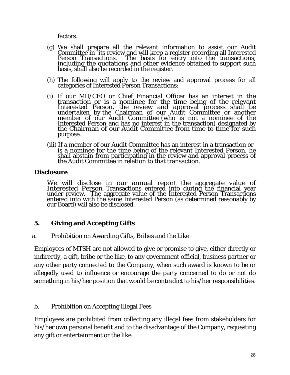factors.

- (g) We shall prepare all the relevant information to assist our Audit Committee in 'its review and will keep a register recording all Interested<br>Person Transactions. The basis for entry into the transactions,<br>including the quotations and other evidence obtained to support such<br>basis, shall a
- (h) The following will apply to the review and approval process for all categories of Interested Person Transactions:
- (i) If our MD/CEO or Chief Financial Officer has an interest in the transaction or is a nominee for the time being of the relevant Interested Person, the review and approval process shall be undertaken by the Chairman of our Audit Committee or another member of our Audit Committee (who is not a nominee of the Interested Person and has no interest in the transaction) designated by the Chairman of our Audit Committee from time to time for such purpose.
- (iii) If a member of our Audit Committee has an interest in a transaction or is a nominee for the time being of the relevant Interested Person, he shall abstain from participating in the review and approval process of the Audit Committee in relation to that transaction.

#### **Disclosure**

We will disclose in our annual report the aggregate value of<br>Interested Person Transactions entered into during the financial year<br>under review. The aggregate value of the Interested Person Transactions entered into with the same Interested Person (as determined reasonably by our Board) will also be disclosed.

#### **5. Giving and Accepting Gifts**

a. Prohibition on Awarding Gifts, Bribes and the Like

Employees of MTSH are not allowed to give or promise to give, either directly or indirectly, a gift, bribe or the like, to any government official, business partner or any other party connected to the Company, when such award is known to be or allegedly used to influence or encourage the party concerned to do or not do something in his/her position that would be contradict to his/her responsibilities.

#### b. Prohibition on Accepting Illegal Fees

Employees are prohibited from collecting any illegal fees from stakeholders for his/her own personal benefit and to the disadvantage of the Company, requesting any gift or entertainment or the like.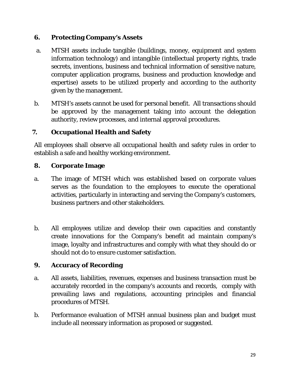# **6. Protecting Company's Assets**

- a. MTSH assets include tangible (buildings, money, equipment and system information technology) and intangible (intellectual property rights, trade secrets, inventions, business and technical information of sensitive nature, computer application programs, business and production knowledge and expertise) assets to be utilized properly and according to the authority given by the management.
- b. MTSH's assets cannot be used for personal benefit. All transactions should be approved by the management taking into account the delegation authority, review processes, and internal approval procedures.

# **7. Occupational Health and Safety**

All employees shall observe all occupational health and safety rules in order to establish a safe and healthy working environment.

## **8. Corporate Image**

- a. The image of MTSH which was established based on corporate values serves as the foundation to the employees to execute the operational activities, particularly in interacting and serving the Company's customers, business partners and other stakeholders.
- b. All employees utilize and develop their own capacities and constantly create innovations for the Company's benefit ad maintain company's image, loyalty and infrastructures and comply with what they should do or should not do to ensure customer satisfaction.

# **9. Accuracy of Recording**

- a. All assets, liabilities, revenues, expenses and business transaction must be accurately recorded in the company's accounts and records, comply with prevailing laws and regulations, accounting principles and financial procedures of MTSH.
- b. Performance evaluation of MTSH annual business plan and budget must include all necessary information as proposed or suggested.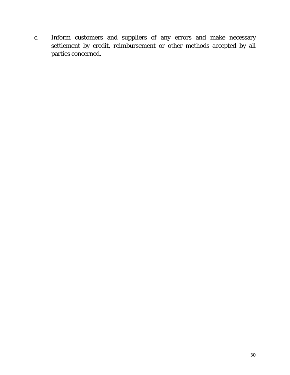c. Inform customers and suppliers of any errors and make necessary settlement by credit, reimbursement or other methods accepted by all parties concerned.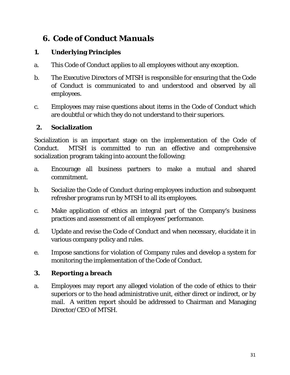# *6. Code of Conduct Manuals*

# **1. Underlying Principles**

- a. This Code of Conduct applies to all employees without any exception.
- b. The Executive Directors of MTSH is responsible for ensuring that the Code of Conduct is communicated to and understood and observed by all employees.
- c. Employees may raise questions about items in the Code of Conduct which are doubtful or which they do not understand to their superiors.

# **2. Socialization**

Socialization is an important stage on the implementation of the Code of Conduct. MTSH is committed to run an effective and comprehensive socialization program taking into account the following:

- a. Encourage all business partners to make a mutual and shared commitment.
- b. Socialize the Code of Conduct during employees induction and subsequent refresher programs run by MTSH to all its employees.
- c. Make application of ethics an integral part of the Company's business practices and assessment of all employees' performance.
- d. Update and revise the Code of Conduct and when necessary, elucidate it in various company policy and rules.
- e. Impose sanctions for violation of Company rules and develop a system for monitoring the implementation of the Code of Conduct.

# **3. Reporting a breach**

a. Employees may report any alleged violation of the code of ethics to their superiors or to the head administrative unit, either direct or indirect, or by mail. A written report should be addressed to Chairman and Managing Director/CEO of MTSH.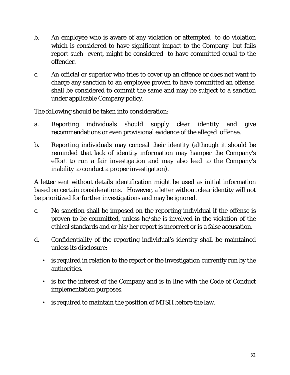- b. An employee who is aware of any violation or attempted to do violation which is considered to have significant impact to the Company but fails report such event, might be considered to have committed equal to the offender.
- c. An official or superior who tries to cover up an offence or does not want to charge any sanction to an employee proven to have committed an offense, shall be considered to commit the same and may be subject to a sanction under applicable Company policy.

The following should be taken into consideration:

- a. Reporting individuals should supply clear identity and give recommendations or even provisional evidence of the alleged offense.
- b. Reporting individuals may conceal their identity (although it should be reminded that lack of identity information may hamper the Company's effort to run a fair investigation and may also lead to the Company's inability to conduct a proper investigation).

A letter sent without details identification might be used as initial information based on certain considerations. However, a letter without clear identity will not be prioritized for further investigations and may be ignored.

- c. No sanction shall be imposed on the reporting individual if the offense is proven to be committed, unless he/she is involved in the violation of the ethical standards and or his/her report is incorrect or is a false accusation.
- d. Confidentiality of the reporting individual's identity shall be maintained unless its disclosure:
	- is required in relation to the report or the investigation currently run by the authorities.
	- is for the interest of the Company and is in line with the Code of Conduct implementation purposes.
	- is required to maintain the position of MTSH before the law.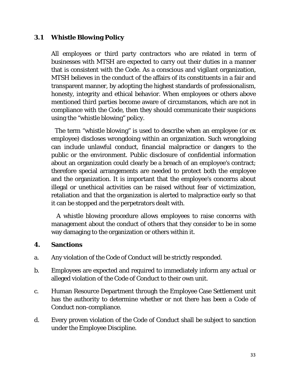#### **3.1 Whistle Blowing Policy**

All employees or third party contractors who are related in term of businesses with MTSH are expected to carry out their duties in a manner that is consistent with the Code. As a conscious and vigilant organization, MTSH believes in the conduct of the affairs of its constituents in a fair and transparent manner, by adopting the highest standards of professionalism, honesty, integrity and ethical behavior. When employees or others above mentioned third parties become aware of circumstances, which are not in compliance with the Code, then they should communicate their suspicions using the "whistle blowing" policy.

 The term "whistle blowing" is used to describe when an employee (or ex employee) discloses wrongdoing within an organization. Such wrongdoing can include unlawful conduct, financial malpractice or dangers to the public or the environment. Public disclosure of confidential information about an organization could clearly be a breach of an employee's contract; therefore special arrangements are needed to protect both the employee and the organization. It is important that the employee's concerns about illegal or unethical activities can be raised without fear of victimization, retaliation and that the organization is alerted to malpractice early so that it can be stopped and the perpetrators dealt with.

 A whistle blowing procedure allows employees to raise concerns with management about the conduct of others that they consider to be in some way damaging to the organization or others within it.

#### **4. Sanctions**

- a. Any violation of the Code of Conduct will be strictly responded.
- b. Employees are expected and required to immediately inform any actual or alleged violation of the Code of Conduct to their own unit.
- c. Human Resource Department through the Employee Case Settlement unit has the authority to determine whether or not there has been a Code of Conduct non-compliance.
- d. Every proven violation of the Code of Conduct shall be subject to sanction under the Employee Discipline.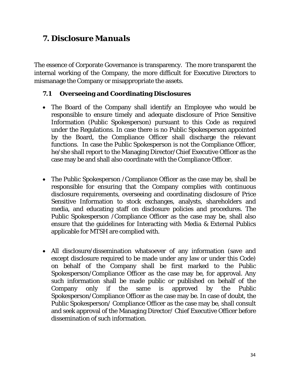# *7. Disclosure Manuals*

The essence of Corporate Governance is transparency. The more transparent the internal working of the Company, the more difficult for Executive Directors to mismanage the Company or misappropriate the assets.

# **7.1 Overseeing and Coordinating Disclosures**

- The Board of the Company shall identify an Employee who would be responsible to ensure timely and adequate disclosure of Price Sensitive Information (Public Spokesperson) pursuant to this Code as required under the Regulations. In case there is no Public Spokesperson appointed by the Board, the Compliance Officer shall discharge the relevant functions. In case the Public Spokesperson is not the Compliance Officer, he/she shall report to the Managing Director/Chief Executive Officer as the case may be and shall also coordinate with the Compliance Officer.
- The Public Spokesperson /Compliance Officer as the case may be, shall be responsible for ensuring that the Company complies with continuous disclosure requirements, overseeing and coordinating disclosure of Price Sensitive Information to stock exchanges, analysts, shareholders and media, and educating staff on disclosure policies and procedures. The Public Spokesperson /Compliance Officer as the case may be, shall also ensure that the guidelines for Interacting with Media & External Publics applicable for MTSH are complied with.
- All disclosure/dissemination whatsoever of any information (save and except disclosure required to be made under any law or under this Code) on behalf of the Company shall be first marked to the Public Spokesperson/Compliance Officer as the case may be, for approval. Any such information shall be made public or published on behalf of the Company only if the same is approved by the Public Spokesperson/Compliance Officer as the case may be. In case of doubt, the Public Spokesperson/ Compliance Officer as the case may be, shall consult and seek approval of the Managing Director/ Chief Executive Officer before dissemination of such information.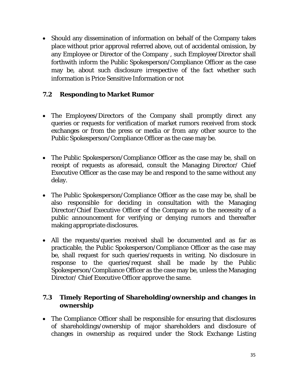Should any dissemination of information on behalf of the Company takes place without prior approval referred above, out of accidental omission, by any Employee or Director of the Company , such Employee/Director shall forthwith inform the Public Spokesperson/Compliance Officer as the case may be, about such disclosure irrespective of the fact whether such information is Price Sensitive Information or not

# **7.2 Responding to Market Rumor**

- The Employees/Directors of the Company shall promptly direct any queries or requests for verification of market rumors received from stock exchanges or from the press or media or from any other source to the Public Spokesperson/Compliance Officer as the case may be.
- The Public Spokesperson/Compliance Officer as the case may be, shall on receipt of requests as aforesaid, consult the Managing Director/ Chief Executive Officer as the case may be and respond to the same without any delay.
- The Public Spokesperson/Compliance Officer as the case may be, shall be also responsible for deciding in consultation with the Managing Director/Chief Executive Officer of the Company as to the necessity of a public announcement for verifying or denying rumors and thereafter making appropriate disclosures.
- All the requests/queries received shall be documented and as far as practicable, the Public Spokesperson/Compliance Officer as the case may be, shall request for such queries/requests in writing. No disclosure in response to the queries/request shall be made by the Public Spokesperson/Compliance Officer as the case may be, unless the Managing Director/ Chief Executive Officer approve the same.

# **7.3 Timely Reporting of Shareholding/ownership and changes in ownership**

 The Compliance Officer shall be responsible for ensuring that disclosures of shareholdings/ownership of major shareholders and disclosure of changes in ownership as required under the Stock Exchange Listing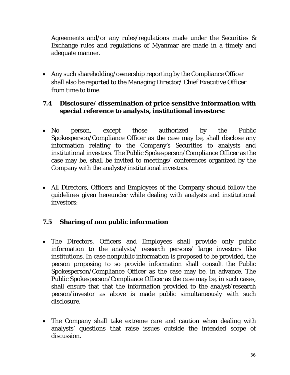Agreements and/or any rules/regulations made under the Securities & Exchange rules and regulations of Myanmar are made in a timely and adequate manner.

 Any such shareholding/ownership reporting by the Compliance Officer shall also be reported to the Managing Director/ Chief Executive Officer from time to time.

## **7.4 Disclosure/ dissemination of price sensitive information with special reference to analysts, institutional investors:**

- No person, except those authorized by the Public Spokesperson/Compliance Officer as the case may be, shall disclose any information relating to the Company's Securities to analysts and institutional investors. The Public Spokesperson/Compliance Officer as the case may be, shall be invited to meetings/ conferences organized by the Company with the analysts/institutional investors.
- All Directors, Officers and Employees of the Company should follow the guidelines given hereunder while dealing with analysts and institutional investors:

# **7.5 Sharing of non public information**

- The Directors, Officers and Employees shall provide only public information to the analysts/ research persons/ large investors like institutions. In case nonpublic information is proposed to be provided, the person proposing to so provide information shall consult the Public Spokesperson/Compliance Officer as the case may be, in advance. The Public Spokesperson/Compliance Officer as the case may be, in such cases, shall ensure that that the information provided to the analyst/research person/investor as above is made public simultaneously with such disclosure.
- The Company shall take extreme care and caution when dealing with analysts' questions that raise issues outside the intended scope of discussion.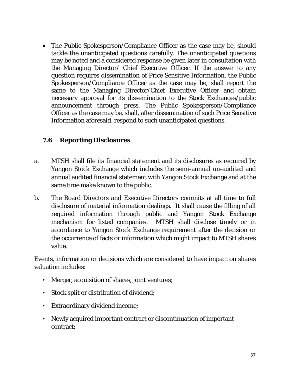• The Public Spokesperson/Compliance Officer as the case may be, should tackle the unanticipated questions carefully. The unanticipated questions may be noted and a considered response be given later in consultation with the Managing Director/ Chief Executive Officer. If the answer to any question requires dissemination of Price Sensitive Information, the Public Spokesperson/Compliance Officer as the case may be, shall report the same to the Managing Director/Chief Executive Officer and obtain necessary approval for its dissemination to the Stock Exchanges/public announcement through press. The Public Spokesperson/Compliance Officer as the case may be, shall, after dissemination of such Price Sensitive Information aforesaid, respond to such unanticipated questions.

# **7.6 Reporting Disclosures**

- a. MTSH shall file its financial statement and its disclosures as required by Yangon Stock Exchange which includes the semi-annual un-audited and annual audited financial statement with Yangon Stock Exchange and at the same time make known to the public.
- b. The Board Directors and Executive Directors commits at all time to full disclosure of material information dealings. It shall cause the filling of all required information through public and Yangon Stock Exchange mechanism for listed companies. MTSH shall disclose timely or in accordance to Yangon Stock Exchange requirement after the decision or the occurrence of facts or information which might impact to MTSH shares value.

Events, information or decisions which are considered to have impact on shares valuation includes:

- Merger, acquisition of shares, joint ventures;
- Stock split or distribution of dividend;
- Extraordinary dividend income;
- Newly acquired important contract or discontinuation of important contract;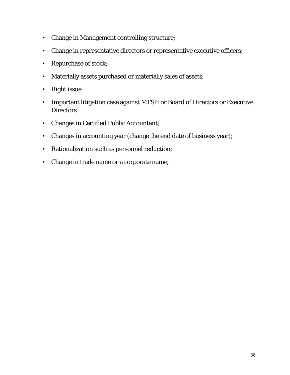- Change in Management controlling structure;
- Change in representative directors or representative executive officers;
- Repurchase of stock;
- Materially assets purchased or materially sales of assets;
- Right issue
- Important litigation case against MTSH or Board of Directors or Executive **Directors**
- Changes in Certified Public Accountant;
- Changes in accounting year (change the end date of business year);
- Rationalization such as personnel reduction;
- Change in trade name or a corporate name;